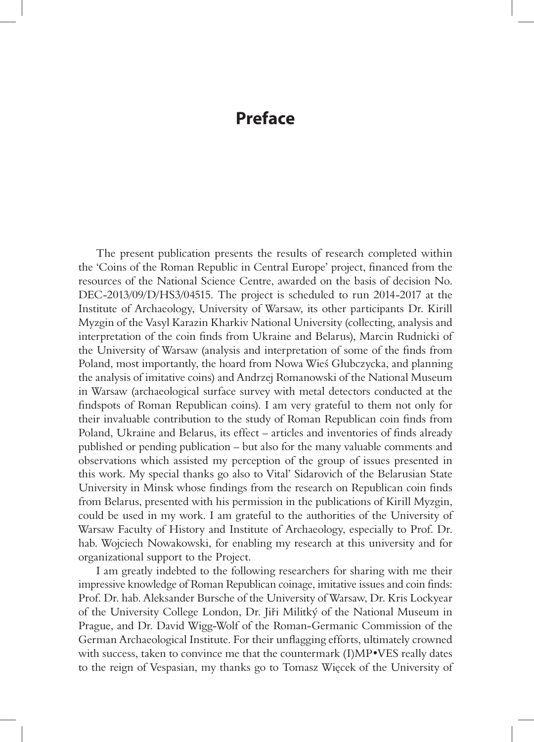## **Preface**

The present publication presents the results of research completed within the 'Coins of the Roman Republic in Central Europe' project, financed from the resources of the National Science Centre, awarded on the basis of decision No. DEC-2013/09/D/HS3/04515. The project is scheduled to run 2014-2017 at the Institute of Archaeology, University of Warsaw, its other participants Dr. Kirill Myzgin of the Vasyl Karazin Kharkiv National University (collecting, analysis and interpretation of the coin finds from Ukraine and Belarus), Marcin Rudnicki of the University of Warsaw (analysis and interpretation of some of the finds from Poland, most importantly, the hoard from Nowa Wieś Głubczycka, and planning the analysis of imitative coins) and Andrzej Romanowski of the National Museum in Warsaw (archaeological surface survey with metal detectors conducted at the findspots of Roman Republican coins). I am very grateful to them not only for their invaluable contribution to the study of Roman Republican coin finds from Poland, Ukraine and Belarus, its effect – articles and inventories of finds already published or pending publication – but also for the many valuable comments and observations which assisted my perception of the group of issues presented in this work. My special thanks go also to Vital' Sidarovich of the Belarusian State University in Minsk whose findings from the research on Republican coin finds from Belarus, presented with his permission in the publications of Kirill Myzgin, could be used in my work. I am grateful to the authorities of the University of Warsaw Faculty of History and Institute of Archaeology, especially to Prof. Dr. hab. Wojciech Nowakowski, for enabling my research at this university and for organizational support to the Project.

I am greatly indebted to the following researchers for sharing with me their impressive knowledge of Roman Republican coinage, imitative issues and coin finds: Prof. Dr. hab. Aleksander Bursche of the University of Warsaw, Dr. Kris Lockyear of the University College London, Dr. Jiři Militký of the National Museum in Prague, and Dr. David Wigg-Wolf of the Roman-Germanic Commission of the German Archaeological Institute. For their unflagging efforts, ultimately crowned with success, taken to convince me that the countermark (I)MP•VES really dates to the reign of Vespasian, my thanks go to Tomasz Więcek of the University of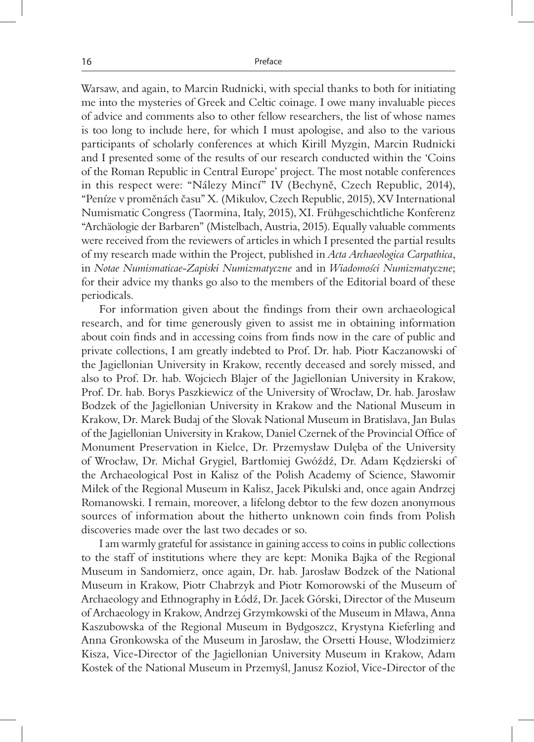Warsaw, and again, to Marcin Rudnicki, with special thanks to both for initiating me into the mysteries of Greek and Celtic coinage. I owe many invaluable pieces of advice and comments also to other fellow researchers, the list of whose names is too long to include here, for which I must apologise, and also to the various participants of scholarly conferences at which Kirill Myzgin, Marcin Rudnicki and I presented some of the results of our research conducted within the 'Coins of the Roman Republic in Central Europe' project. The most notable conferences in this respect were: "Nálezy Mincí" IV (Bechyně, Czech Republic, 2014), "Peníze v proměnách času" X. (Mikulov, Czech Republic, 2015), XV International Numismatic Congress (Taormina, Italy, 2015), XI. Frühgeschichtliche Konferenz "Archäologie der Barbaren" (Mistelbach, Austria, 2015). Equally valuable comments were received from the reviewers of articles in which I presented the partial results of my research made within the Project, published in *Acta Archaeologica Carpathica*, in *Notae Numismaticae-Zapiski Numizmatyczne* and in *Wiadomości Numizmatyczne*; for their advice my thanks go also to the members of the Editorial board of these periodicals.

For information given about the findings from their own archaeological research, and for time generously given to assist me in obtaining information about coin finds and in accessing coins from finds now in the care of public and private collections, I am greatly indebted to Prof. Dr. hab. Piotr Kaczanowski of the Jagiellonian University in Krakow, recently deceased and sorely missed, and also to Prof. Dr. hab. Wojciech Blajer of the Jagiellonian University in Krakow, Prof. Dr. hab. Borys Paszkiewicz of the University of Wrocław, Dr. hab. Jarosław Bodzek of the Jagiellonian University in Krakow and the National Museum in Krakow, Dr. Marek Budaj of the Slovak National Museum in Bratislava, Jan Bulas of the Jagiellonian University in Krakow, Daniel Czernek of the Provincial Office of Monument Preservation in Kielce, Dr. Przemysław Dulęba of the University of Wrocław, Dr. Michał Grygiel, Bartłomiej Gwóźdź, Dr. Adam Kędzierski of the Archaeological Post in Kalisz of the Polish Academy of Science, Sławomir Miłek of the Regional Museum in Kalisz, Jacek Pikulski and, once again Andrzej Romanowski. I remain, moreover, a lifelong debtor to the few dozen anonymous sources of information about the hitherto unknown coin finds from Polish discoveries made over the last two decades or so.

I am warmly grateful for assistance in gaining access to coins in public collections to the staff of institutions where they are kept: Monika Bajka of the Regional Museum in Sandomierz, once again, Dr. hab. Jarosław Bodzek of the National Museum in Krakow, Piotr Chabrzyk and Piotr Komorowski of the Museum of Archaeology and Ethnography in Łódź, Dr. Jacek Górski, Director of the Museum of Archaeology in Krakow, Andrzej Grzymkowski of the Museum in Mława, Anna Kaszubowska of the Regional Museum in Bydgoszcz, Krystyna Kieferling and Anna Gronkowska of the Museum in Jarosław, the Orsetti House, Włodzimierz Kisza, Vice-Director of the Jagiellonian University Museum in Krakow, Adam Kostek of the National Museum in Przemyśl, Janusz Kozioł, Vice-Director of the